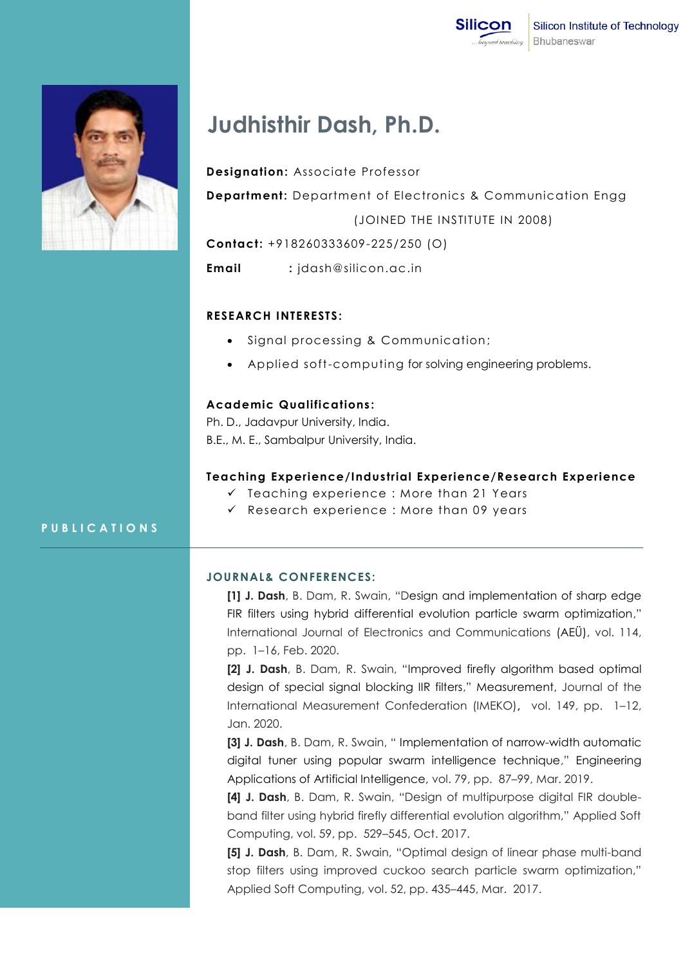



# **Judhisthir Dash, Ph.D.**

**Designation:** Associate Professor **Department:** Department of Electronics & Communication Engg (JOINED THE INSTITUTE IN 2008)

**Contact:** +918260333609-225/250 (O)

**Email :** jdash@silicon.ac.in

# **RESEARCH INTERESTS:**

- Signal processing & Communication;
- Applied soft-computing for solving engineering problems.

#### **Academic Qualifications :**

Ph. D., Jadavpur University, India. B.E., M. E., Sambalpur University, India.

### **Teaching Experience/Industrial Experience/Research Experience**

- $\checkmark$  Teaching experience : More than 21 Years
- $\checkmark$  Research experience : More than 09 years

# **P U B L I C A T I O N S**

# **JOURNAL& CONFERENCES:**

**[1] J. Dash**, B. Dam, R. Swain, "Design and implementation of sharp edge FIR filters using hybrid differential evolution particle swarm optimization," International Journal of Electronics and Communications (AEÜ), vol. 114, pp. 1–16, Feb. 2020.

**[2] J. Dash**, B. Dam, R. Swain, "Improved firefly algorithm based optimal design of special signal blocking IIR filters," Measurement, Journal of the International Measurement Confederation (IMEKO)**,** vol. 149, pp. 1–12, Jan. 2020.

**[3] J. Dash**, B. Dam, R. Swain, " Implementation of narrow-width automatic digital tuner using popular swarm intelligence technique," Engineering Applications of Artificial Intelligence, vol. 79, pp. 87–99, Mar. 2019.

**[4] J. Dash**, B. Dam, R. Swain, "Design of multipurpose digital FIR doubleband filter using hybrid firefly differential evolution algorithm," Applied Soft Computing, vol. 59, pp. 529–545, Oct. 2017.

**[5] J. Dash**, B. Dam, R. Swain, "Optimal design of linear phase multi-band stop filters using improved cuckoo search particle swarm optimization," Applied Soft Computing, vol. 52, pp. 435–445, Mar. 2017.